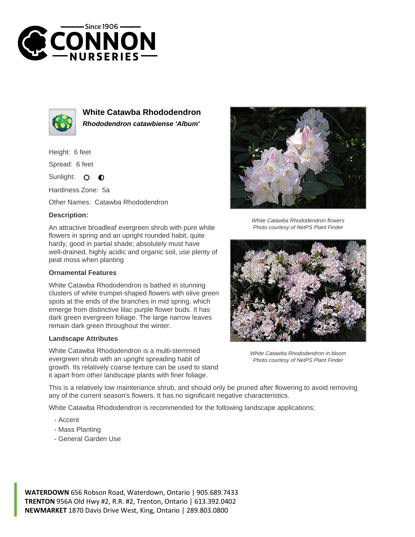



**White Catawba Rhododendron Rhododendron catawbiense 'Album'**

Height: 6 feet

Spread: 6 feet

Sunlight: 0  $\bullet$ 

Hardiness Zone: 5a

Other Names: Catawba Rhododendron

## **Description:**

An attractive broadleaf evergreen shrub with pure white flowers in spring and an upright rounded habit, quite hardy, good in partial shade; absolutely must have well-drained, highly acidic and organic soil, use plenty of peat moss when planting

## **Ornamental Features**

White Catawba Rhododendron is bathed in stunning clusters of white trumpet-shaped flowers with olive green spots at the ends of the branches in mid spring, which emerge from distinctive lilac purple flower buds. It has dark green evergreen foliage. The large narrow leaves remain dark green throughout the winter.

## **Landscape Attributes**

White Catawba Rhododendron is a multi-stemmed evergreen shrub with an upright spreading habit of growth. Its relatively coarse texture can be used to stand it apart from other landscape plants with finer foliage.



White Catawba Rhododendron flowers Photo courtesy of NetPS Plant Finder



White Catawba Rhododendron in bloom Photo courtesy of NetPS Plant Finder

This is a relatively low maintenance shrub, and should only be pruned after flowering to avoid removing any of the current season's flowers. It has no significant negative characteristics.

White Catawba Rhododendron is recommended for the following landscape applications;

- Accent
- Mass Planting
- General Garden Use

**WATERDOWN** 656 Robson Road, Waterdown, Ontario | 905.689.7433 **TRENTON** 956A Old Hwy #2, R.R. #2, Trenton, Ontario | 613.392.0402 **NEWMARKET** 1870 Davis Drive West, King, Ontario | 289.803.0800